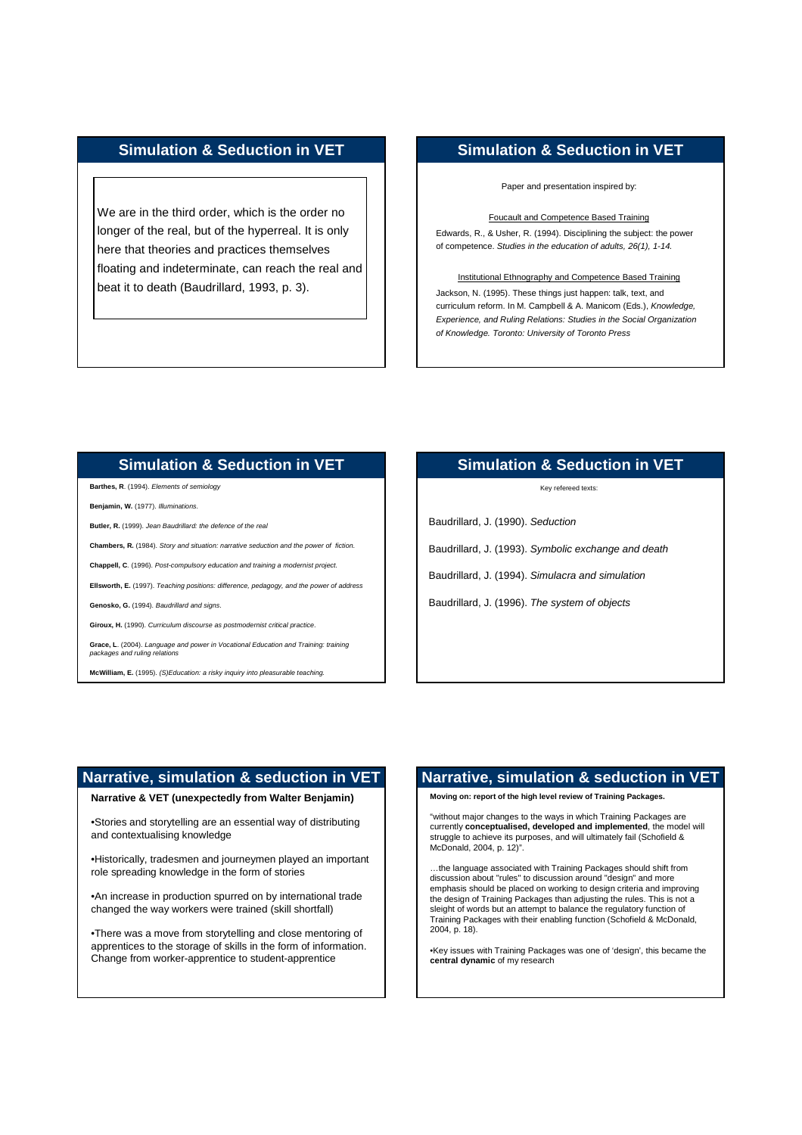We are in the third order, which is the order no longer of the real, but of the hyperreal. It is only here that theories and practices themselves floating and indeterminate, can reach the real and beat it to death (Baudrillard, 1993, p. 3).

# **Simulation & Seduction in VET**

Paper and presentation inspired by:

Foucault and Competence Based Training

Edwards, R., & Usher, R. (1994). Disciplining the subject: the power of competence. Studies in the education of adults, 26(1), 1-14.

#### Institutional Ethnography and Competence Based Training

Jackson, N. (1995). These things just happen: talk, text, and curriculum reform. In M. Campbell & A. Manicom (Eds.), Knowledge, Experience, and Ruling Relations: Studies in the Social Organization of Knowledge. Toronto: University of Toronto Press

#### **Simulation & Seduction in VET**

**Barthes, R**. (1994). Elements of semiology

**Benjamin, W.** (1977). Illuminations.

**Butler, R.** (1999). Jean Baudrillard: the defence of the real

**Chambers, R.** (1984). Story and situation: narrative seduction and the power of fiction.

**Chappell, C**. (1996). Post-compulsory education and training a modernist project.

**Ellsworth, E.** (1997). Teaching positions: difference, pedagogy, and the power of address

**Genosko, G.** (1994). Baudrillard and signs.

**Giroux, H.** (1990). Curriculum discourse as postmodernist critical practice.

**Grace, L**. (2004). Language and power in Vocational Education and Training: training<br>packages and ruling relations

**McWilliam, E.** (1995). (S)Education: a risky inquiry into pleasurable teaching.

## **Simulation & Seduction in VET**

Key refereed texts:

Baudrillard, J. (1990). Seduction

Baudrillard, J. (1993). Symbolic exchange and death

Baudrillard, J. (1994). Simulacra and simulation

Baudrillard, J. (1996). The system of objects

#### **Narrative, simulation & seduction in VET**

**Narrative & VET (unexpectedly from Walter Benjamin)**

•Stories and storytelling are an essential way of distributing and contextualising knowledge

•Historically, tradesmen and journeymen played an important role spreading knowledge in the form of stories

•An increase in production spurred on by international trade changed the way workers were trained (skill shortfall)

•There was a move from storytelling and close mentoring of apprentices to the storage of skills in the form of information. Change from worker-apprentice to student-apprentice

#### **Narrative, simulation & seduction in VET**

**Moving on: report of the high level review of Training Packages.**

"without major changes to the ways in which Training Packages are currently **conceptualised, developed and implemented**, the model will struggle to achieve its purposes, and will ultimately fail (Schofield & McDonald, 2004, p. 12)".

…the language associated with Training Packages should shift from discussion about "rules" to discussion around "design" and more emphasis should be placed on working to design criteria and improving the design of Training Packages than adjusting the rules. This is not a sleight of words but an attempt to balance the regulatory function of Training Packages with their enabling function (Schofield & McDonald, 2004, p. 18).

•Key issues with Training Packages was one of 'design', this became the **central dynamic** of my research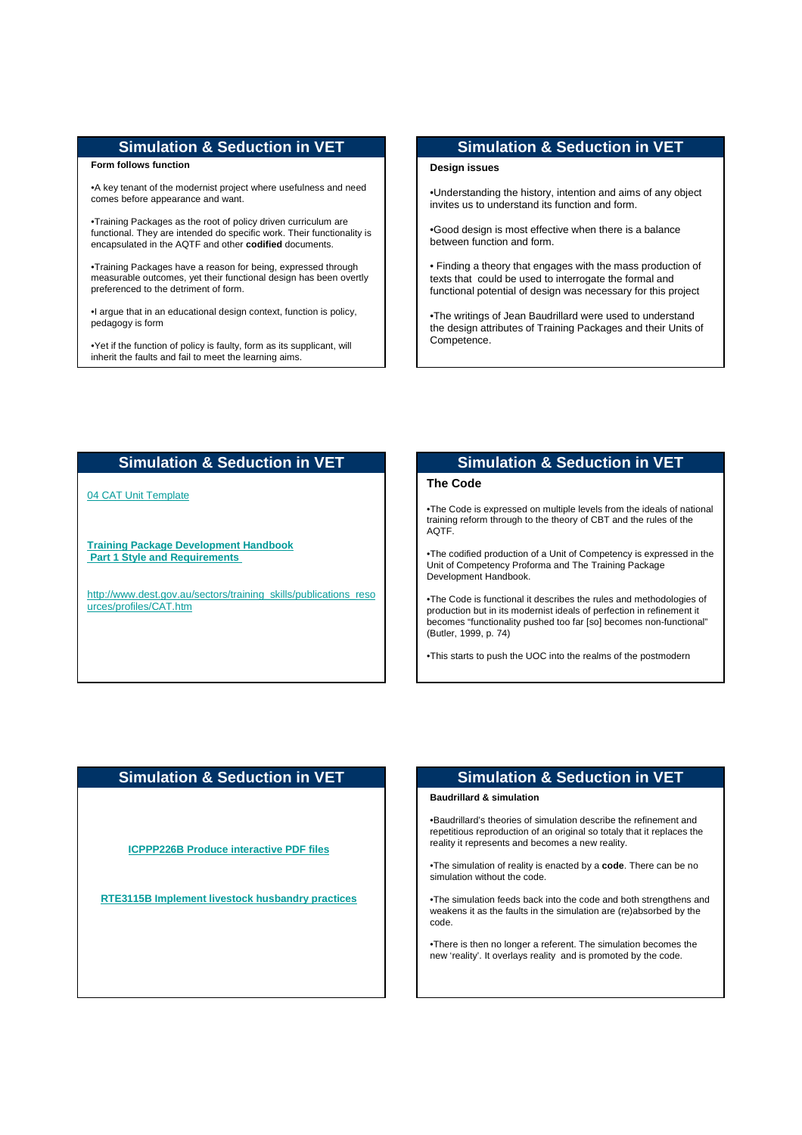#### **Form follows function**

•A key tenant of the modernist project where usefulness and need comes before appearance and want.

•Training Packages as the root of policy driven curriculum are functional. They are intended do specific work. Their functionality is encapsulated in the AQTF and other **codified** documents.

•Training Packages have a reason for being, expressed through measurable outcomes, yet their functional design has been overtly preferenced to the detriment of form.

•I argue that in an educational design context, function is policy, pedagogy is form

•Yet if the function of policy is faulty, form as its supplicant, will inherit the faults and fail to meet the learning aims.

## **Simulation & Seduction in VET**

#### **Design issues**

•Understanding the history, intention and aims of any object invites us to understand its function and form.

•Good design is most effective when there is a balance between function and form.

• Finding a theory that engages with the mass production of texts that could be used to interrogate the formal and functional potential of design was necessary for this project

•The writings of Jean Baudrillard were used to understand the design attributes of Training Packages and their Units of Competence.

# **Simulation & Seduction in VET**

#### 04 CAT Unit Template

**Training Package Development Handbook Part 1 Style and Requirements** 

http://www.dest.gov.au/sectors/training\_skills/publications\_reso urces/profiles/CAT.htm

# **Simulation & Seduction in VET**

#### **The Code**

•The Code is expressed on multiple levels from the ideals of national training reform through to the theory of CBT and the rules of the AQTF.

•The codified production of a Unit of Competency is expressed in the Unit of Competency Proforma and The Training Package Development Handbook.

•The Code is functional it describes the rules and methodologies of production but in its modernist ideals of perfection in refinement it becomes "functionality pushed too far [so] becomes non-functional" (Butler, 1999, p. 74)

•This starts to push the UOC into the realms of the postmodern

# **Simulation & Seduction in VET**

**ICPPP226B Produce interactive PDF files**

**RTE3115B Implement livestock husbandry practices**

#### **Simulation & Seduction in VET**

#### **Baudrillard & simulation**

•Baudrillard's theories of simulation describe the refinement and repetitious reproduction of an original so totaly that it replaces the reality it represents and becomes a new reality.

•The simulation of reality is enacted by a **code**. There can be no simulation without the code.

•The simulation feeds back into the code and both strengthens and weakens it as the faults in the simulation are (re)absorbed by the code.

•There is then no longer a referent. The simulation becomes the new 'reality'. It overlays reality and is promoted by the code.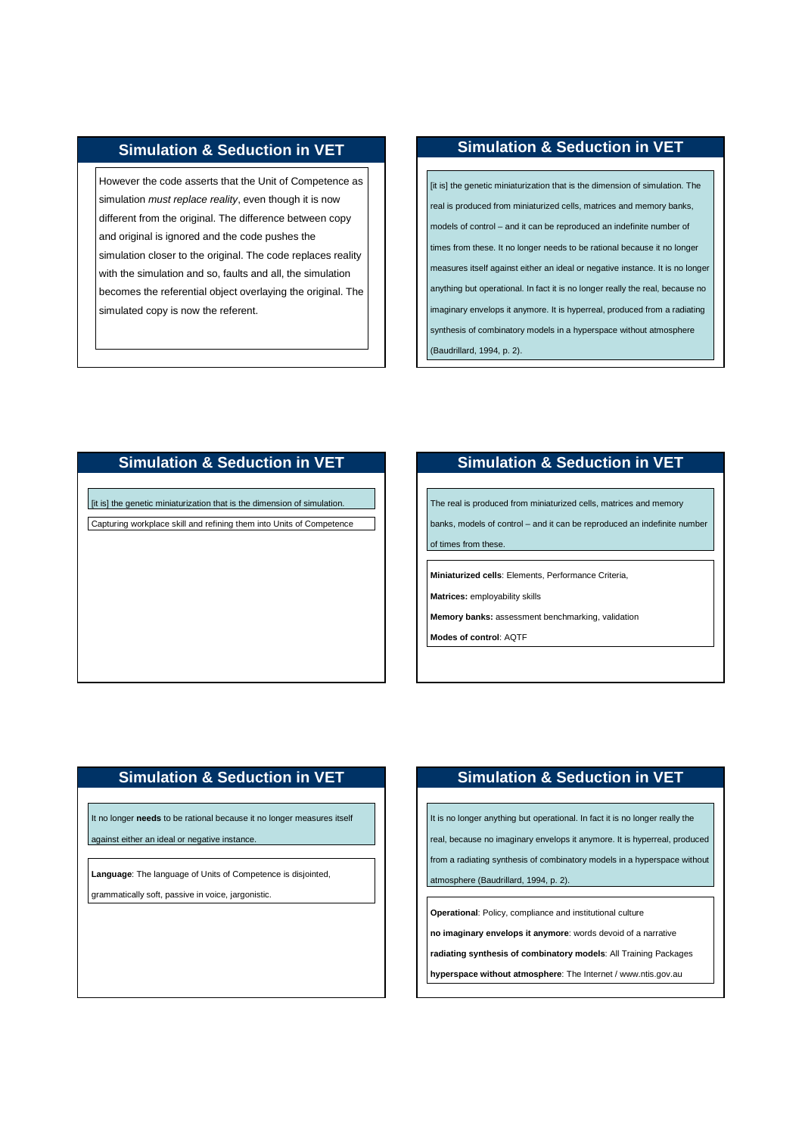However the code asserts that the Unit of Competence as simulation *must replace reality*, even though it is now different from the original. The difference between copy and original is ignored and the code pushes the simulation closer to the original. The code replaces reality with the simulation and so, faults and all, the simulation becomes the referential object overlaying the original. The simulated copy is now the referent.

## **Simulation & Seduction in VET**

[it is] the genetic miniaturization that is the dimension of simulation. The real is produced from miniaturized cells, matrices and memory banks, models of control – and it can be reproduced an indefinite number of times from these. It no longer needs to be rational because it no longer measures itself against either an ideal or negative instance. It is no longer anything but operational. In fact it is no longer really the real, because no imaginary envelops it anymore. It is hyperreal, produced from a radiating synthesis of combinatory models in a hyperspace without atmosphere (Baudrillard, 1994, p. 2).

# **Simulation & Seduction in VET**

[it is] the genetic miniaturization that is the dimension of simulation. Capturing workplace skill and refining them into Units of Competence

# **Simulation & Seduction in VET**

The real is produced from miniaturized cells, matrices and memory

banks, models of control – and it can be reproduced an indefinite number of times from these

**Miniaturized cells**: Elements, Performance Criteria,

**Matrices:** employability skills

**Memory banks:** assessment benchmarking, validation

**Modes of control**: AQTF

# **Simulation & Seduction in VET**

It no longer **needs** to be rational because it no longer measures itself

against either an ideal or negative instance.

**Language**: The language of Units of Competence is disjointed,

grammatically soft, passive in voice, jargonistic.

# **Simulation & Seduction in VET**

It is no longer anything but operational. In fact it is no longer really the

real, because no imaginary envelops it anymore. It is hyperreal, produced

from a radiating synthesis of combinatory models in a hyperspace without

atmosphere (Baudrillard, 1994, p. 2).

**Operational**: Policy, compliance and institutional culture

**no imaginary envelops it anymore**: words devoid of a narrative

**radiating synthesis of combinatory models**: All Training Packages

**hyperspace without atmosphere**: The Internet / www.ntis.gov.au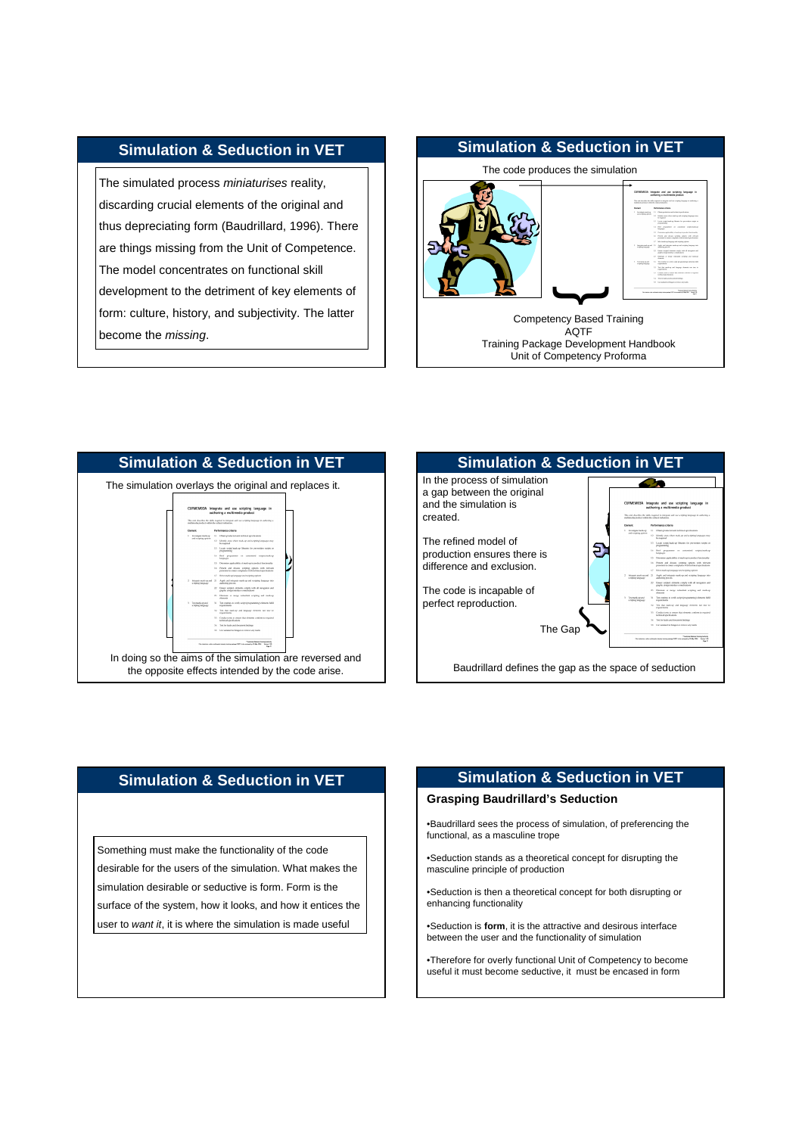The simulated process *miniaturises* reality, discarding crucial elements of the original and thus depreciating form (Baudrillard, 1996). There are things missing from the Unit of Competence. The model concentrates on functional skill development to the detriment of key elements of form: culture, history, and subjectivity. The latter become the missing.

# **Simulation & Seduction in VET** The code produces the simulation Integrate and use scripting language in  $\overline{\phantom{a}}$ Competency Based Training AQTF Training Package Development Handbook Unit of Competency Proforma





#### **Simulation & Seduction in VET**

Something must make the functionality of the code desirable for the users of the simulation. What makes the simulation desirable or seductive is form. Form is the surface of the system, how it looks, and how it entices the user to want it, it is where the simulation is made useful

# **Simulation & Seduction in VET**

#### **Grasping Baudrillard's Seduction**

•Baudrillard sees the process of simulation, of preferencing the functional, as a masculine trope

•Seduction stands as a theoretical concept for disrupting the masculine principle of production

•Seduction is then a theoretical concept for both disrupting or enhancing functionality

•Seduction is **form**, it is the attractive and desirous interface between the user and the functionality of simulation

•Therefore for overly functional Unit of Competency to become useful it must become seductive, it must be encased in form